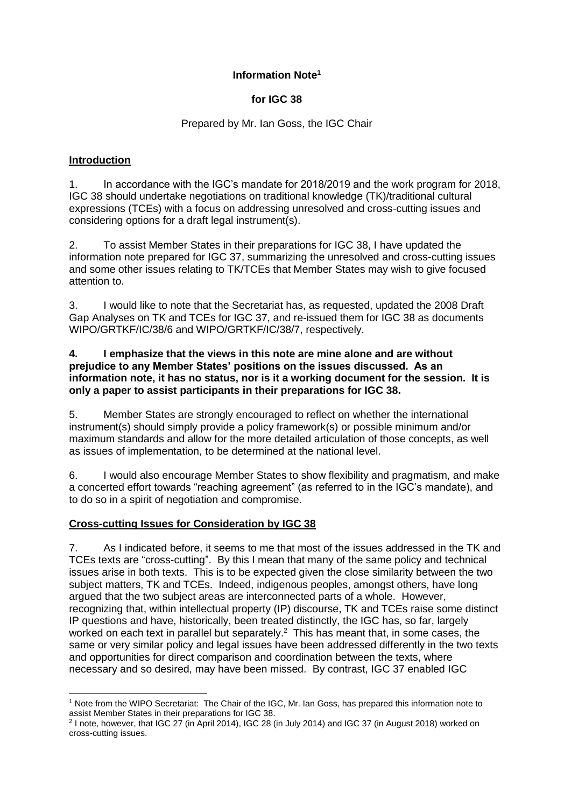# **Information Note<sup>1</sup>**

## **for IGC 38**

### Prepared by Mr. Ian Goss, the IGC Chair

## **Introduction**

1. In accordance with the IGC's mandate for 2018/2019 and the work program for 2018, IGC 38 should undertake negotiations on traditional knowledge (TK)/traditional cultural expressions (TCEs) with a focus on addressing unresolved and cross-cutting issues and considering options for a draft legal instrument(s).

2. To assist Member States in their preparations for IGC 38, I have updated the information note prepared for IGC 37, summarizing the unresolved and cross-cutting issues and some other issues relating to TK/TCEs that Member States may wish to give focused attention to.

3. I would like to note that the Secretariat has, as requested, updated the 2008 Draft Gap Analyses on TK and TCEs for IGC 37, and re-issued them for IGC 38 as documents WIPO/GRTKF/IC/38/6 and WIPO/GRTKF/IC/38/7, respectively.

#### **4. I emphasize that the views in this note are mine alone and are without prejudice to any Member States' positions on the issues discussed. As an information note, it has no status, nor is it a working document for the session. It is only a paper to assist participants in their preparations for IGC 38.**

5. Member States are strongly encouraged to reflect on whether the international instrument(s) should simply provide a policy framework(s) or possible minimum and/or maximum standards and allow for the more detailed articulation of those concepts, as well as issues of implementation, to be determined at the national level.

6. I would also encourage Member States to show flexibility and pragmatism, and make a concerted effort towards "reaching agreement" (as referred to in the IGC's mandate), and to do so in a spirit of negotiation and compromise.

# **Cross-cutting Issues for Consideration by IGC 38**

7. As I indicated before, it seems to me that most of the issues addressed in the TK and TCEs texts are "cross-cutting". By this I mean that many of the same policy and technical issues arise in both texts. This is to be expected given the close similarity between the two subject matters, TK and TCEs. Indeed, indigenous peoples, amongst others, have long argued that the two subject areas are interconnected parts of a whole. However, recognizing that, within intellectual property (IP) discourse, TK and TCEs raise some distinct IP questions and have, historically, been treated distinctly, the IGC has, so far, largely worked on each text in parallel but separately.<sup>2</sup> This has meant that, in some cases, the same or very similar policy and legal issues have been addressed differently in the two texts and opportunities for direct comparison and coordination between the texts, where necessary and so desired, may have been missed. By contrast, IGC 37 enabled IGC

<sup>-</sup><sup>1</sup> Note from the WIPO Secretariat: The Chair of the IGC, Mr. Ian Goss, has prepared this information note to assist Member States in their preparations for IGC 38.

<sup>2</sup> I note, however, that IGC 27 (in April 2014), IGC 28 (in July 2014) and IGC 37 (in August 2018) worked on cross-cutting issues.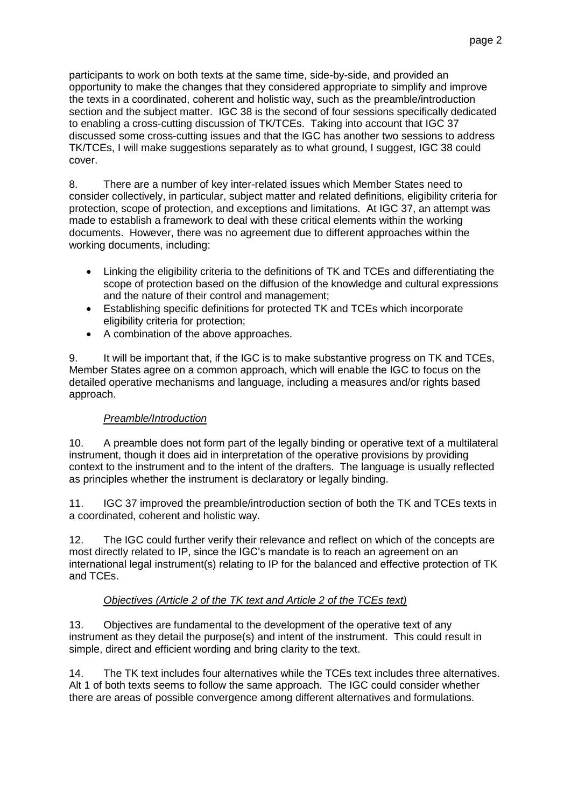participants to work on both texts at the same time, side-by-side, and provided an opportunity to make the changes that they considered appropriate to simplify and improve the texts in a coordinated, coherent and holistic way, such as the preamble/introduction section and the subject matter. IGC 38 is the second of four sessions specifically dedicated to enabling a cross-cutting discussion of TK/TCEs. Taking into account that IGC 37 discussed some cross-cutting issues and that the IGC has another two sessions to address TK/TCEs, I will make suggestions separately as to what ground, I suggest, IGC 38 could cover.

8. There are a number of key inter-related issues which Member States need to consider collectively, in particular, subject matter and related definitions, eligibility criteria for protection, scope of protection, and exceptions and limitations. At IGC 37, an attempt was made to establish a framework to deal with these critical elements within the working documents. However, there was no agreement due to different approaches within the working documents, including:

- Linking the eligibility criteria to the definitions of TK and TCEs and differentiating the scope of protection based on the diffusion of the knowledge and cultural expressions and the nature of their control and management;
- Establishing specific definitions for protected TK and TCEs which incorporate eligibility criteria for protection;
- A combination of the above approaches.

9. It will be important that, if the IGC is to make substantive progress on TK and TCEs, Member States agree on a common approach, which will enable the IGC to focus on the detailed operative mechanisms and language, including a measures and/or rights based approach.

# *Preamble/Introduction*

10. A preamble does not form part of the legally binding or operative text of a multilateral instrument, though it does aid in interpretation of the operative provisions by providing context to the instrument and to the intent of the drafters. The language is usually reflected as principles whether the instrument is declaratory or legally binding.

11. IGC 37 improved the preamble/introduction section of both the TK and TCEs texts in a coordinated, coherent and holistic way.

12. The IGC could further verify their relevance and reflect on which of the concepts are most directly related to IP, since the IGC's mandate is to reach an agreement on an international legal instrument(s) relating to IP for the balanced and effective protection of TK and TCEs.

### *Objectives (Article 2 of the TK text and Article 2 of the TCEs text)*

13. Objectives are fundamental to the development of the operative text of any instrument as they detail the purpose(s) and intent of the instrument. This could result in simple, direct and efficient wording and bring clarity to the text.

14. The TK text includes four alternatives while the TCEs text includes three alternatives. Alt 1 of both texts seems to follow the same approach. The IGC could consider whether there are areas of possible convergence among different alternatives and formulations.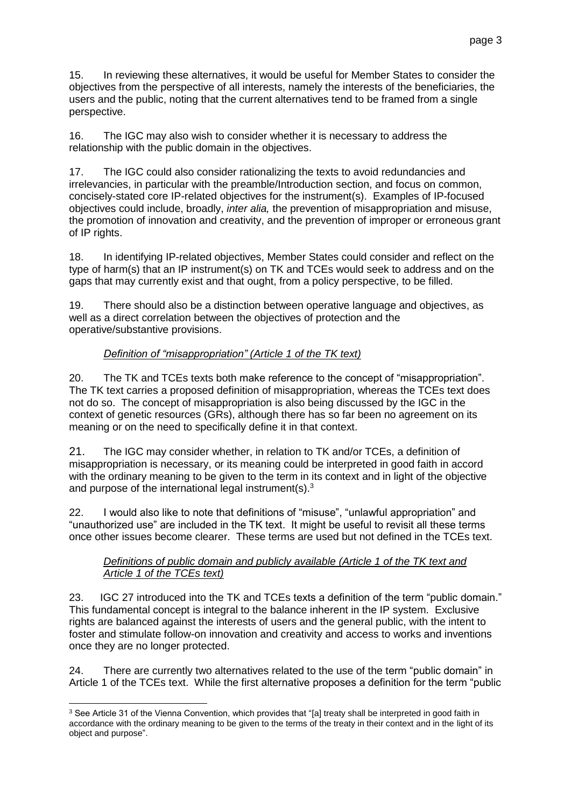15. In reviewing these alternatives, it would be useful for Member States to consider the objectives from the perspective of all interests, namely the interests of the beneficiaries, the users and the public, noting that the current alternatives tend to be framed from a single perspective.

16. The IGC may also wish to consider whether it is necessary to address the relationship with the public domain in the objectives.

17. The IGC could also consider rationalizing the texts to avoid redundancies and irrelevancies, in particular with the preamble/Introduction section, and focus on common, concisely-stated core IP-related objectives for the instrument(s). Examples of IP-focused objectives could include, broadly, *inter alia,* the prevention of misappropriation and misuse, the promotion of innovation and creativity, and the prevention of improper or erroneous grant of IP rights.

18. In identifying IP-related objectives, Member States could consider and reflect on the type of harm(s) that an IP instrument(s) on TK and TCEs would seek to address and on the gaps that may currently exist and that ought, from a policy perspective, to be filled.

19. There should also be a distinction between operative language and objectives, as well as a direct correlation between the objectives of protection and the operative/substantive provisions.

# *Definition of "misappropriation" (Article 1 of the TK text)*

20. The TK and TCEs texts both make reference to the concept of "misappropriation". The TK text carries a proposed definition of misappropriation, whereas the TCEs text does not do so. The concept of misappropriation is also being discussed by the IGC in the context of genetic resources (GRs), although there has so far been no agreement on its meaning or on the need to specifically define it in that context.

21. The IGC may consider whether, in relation to TK and/or TCEs, a definition of misappropriation is necessary, or its meaning could be interpreted in good faith in accord with the ordinary meaning to be given to the term in its context and in light of the objective and purpose of the international legal instrument(s). $3$ 

22. I would also like to note that definitions of "misuse", "unlawful appropriation" and "unauthorized use" are included in the TK text. It might be useful to revisit all these terms once other issues become clearer. These terms are used but not defined in the TCEs text.

## *Definitions of public domain and publicly available (Article 1 of the TK text and Article 1 of the TCEs text)*

23. IGC 27 introduced into the TK and TCEs texts a definition of the term "public domain." This fundamental concept is integral to the balance inherent in the IP system. Exclusive rights are balanced against the interests of users and the general public, with the intent to foster and stimulate follow-on innovation and creativity and access to works and inventions once they are no longer protected.

24. There are currently two alternatives related to the use of the term "public domain" in Article 1 of the TCEs text. While the first alternative proposes a definition for the term "public

-

<sup>&</sup>lt;sup>3</sup> See Article 31 of the Vienna Convention, which provides that "[a] treaty shall be interpreted in good faith in accordance with the ordinary meaning to be given to the terms of the treaty in their context and in the light of its object and purpose".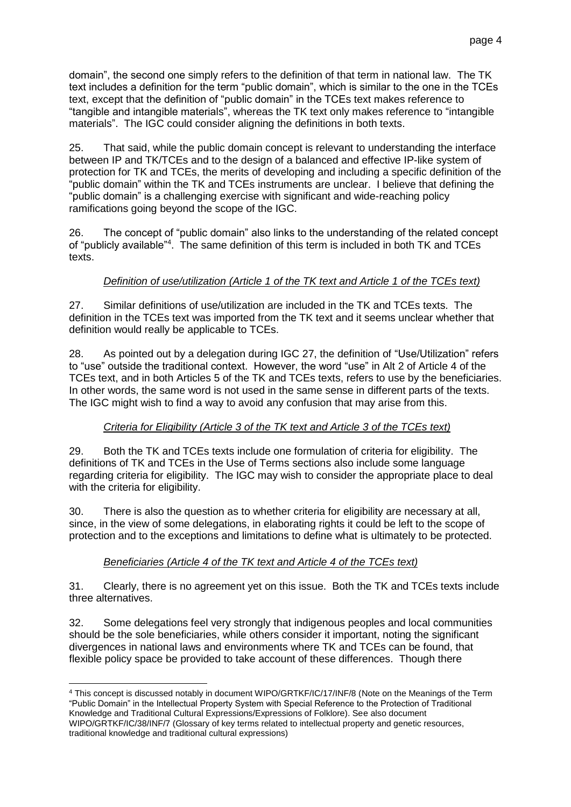domain", the second one simply refers to the definition of that term in national law. The TK text includes a definition for the term "public domain", which is similar to the one in the TCEs text, except that the definition of "public domain" in the TCEs text makes reference to "tangible and intangible materials", whereas the TK text only makes reference to "intangible materials". The IGC could consider aligning the definitions in both texts.

25. That said, while the public domain concept is relevant to understanding the interface between IP and TK/TCEs and to the design of a balanced and effective IP-like system of protection for TK and TCEs, the merits of developing and including a specific definition of the "public domain" within the TK and TCEs instruments are unclear. I believe that defining the "public domain" is a challenging exercise with significant and wide-reaching policy ramifications going beyond the scope of the IGC.

26. The concept of "public domain" also links to the understanding of the related concept of "publicly available"<sup>4</sup>. The same definition of this term is included in both TK and TCEs texts.

# *Definition of use/utilization (Article 1 of the TK text and Article 1 of the TCEs text)*

27. Similar definitions of use/utilization are included in the TK and TCEs texts. The definition in the TCEs text was imported from the TK text and it seems unclear whether that definition would really be applicable to TCEs.

28. As pointed out by a delegation during IGC 27, the definition of "Use/Utilization" refers to "use" outside the traditional context. However, the word "use" in Alt 2 of Article 4 of the TCEs text, and in both Articles 5 of the TK and TCEs texts, refers to use by the beneficiaries. In other words, the same word is not used in the same sense in different parts of the texts. The IGC might wish to find a way to avoid any confusion that may arise from this.

# *Criteria for Eligibility (Article 3 of the TK text and Article 3 of the TCEs text)*

29. Both the TK and TCEs texts include one formulation of criteria for eligibility. The definitions of TK and TCEs in the Use of Terms sections also include some language regarding criteria for eligibility. The IGC may wish to consider the appropriate place to deal with the criteria for eligibility.

30. There is also the question as to whether criteria for eligibility are necessary at all, since, in the view of some delegations, in elaborating rights it could be left to the scope of protection and to the exceptions and limitations to define what is ultimately to be protected.

# *Beneficiaries (Article 4 of the TK text and Article 4 of the TCEs text)*

31. Clearly, there is no agreement yet on this issue. Both the TK and TCEs texts include three alternatives.

32. Some delegations feel very strongly that indigenous peoples and local communities should be the sole beneficiaries, while others consider it important, noting the significant divergences in national laws and environments where TK and TCEs can be found, that flexible policy space be provided to take account of these differences. Though there

<sup>-</sup><sup>4</sup> This concept is discussed notably in document WIPO/GRTKF/IC/17/INF/8 (Note on the Meanings of the Term "Public Domain" in the Intellectual Property System with Special Reference to the Protection of Traditional Knowledge and Traditional Cultural Expressions/Expressions of Folklore). See also document WIPO/GRTKF/IC/38/INF/7 (Glossary of key terms related to intellectual property and genetic resources, traditional knowledge and traditional cultural expressions)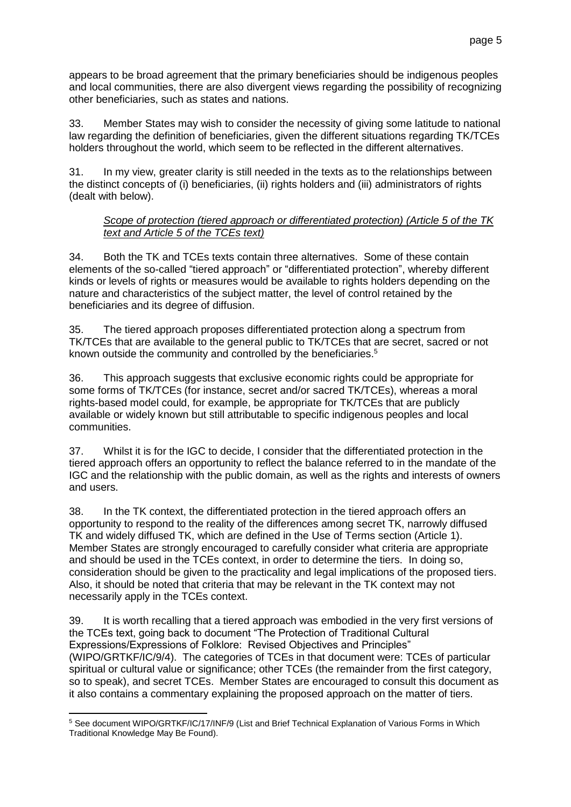page 5

33. Member States may wish to consider the necessity of giving some latitude to national law regarding the definition of beneficiaries, given the different situations regarding TK/TCEs holders throughout the world, which seem to be reflected in the different alternatives.

other beneficiaries, such as states and nations.

31. In my view, greater clarity is still needed in the texts as to the relationships between the distinct concepts of (i) beneficiaries, (ii) rights holders and (iii) administrators of rights (dealt with below).

## *Scope of protection (tiered approach or differentiated protection) (Article 5 of the TK text and Article 5 of the TCEs text)*

34. Both the TK and TCEs texts contain three alternatives. Some of these contain elements of the so-called "tiered approach" or "differentiated protection", whereby different kinds or levels of rights or measures would be available to rights holders depending on the nature and characteristics of the subject matter, the level of control retained by the beneficiaries and its degree of diffusion.

35. The tiered approach proposes differentiated protection along a spectrum from TK/TCEs that are available to the general public to TK/TCEs that are secret, sacred or not known outside the community and controlled by the beneficiaries. 5

36. This approach suggests that exclusive economic rights could be appropriate for some forms of TK/TCEs (for instance, secret and/or sacred TK/TCEs), whereas a moral rights-based model could, for example, be appropriate for TK/TCEs that are publicly available or widely known but still attributable to specific indigenous peoples and local communities.

37. Whilst it is for the IGC to decide, I consider that the differentiated protection in the tiered approach offers an opportunity to reflect the balance referred to in the mandate of the IGC and the relationship with the public domain, as well as the rights and interests of owners and users.

38. In the TK context, the differentiated protection in the tiered approach offers an opportunity to respond to the reality of the differences among secret TK, narrowly diffused TK and widely diffused TK, which are defined in the Use of Terms section (Article 1). Member States are strongly encouraged to carefully consider what criteria are appropriate and should be used in the TCEs context, in order to determine the tiers. In doing so, consideration should be given to the practicality and legal implications of the proposed tiers. Also, it should be noted that criteria that may be relevant in the TK context may not necessarily apply in the TCEs context.

39. It is worth recalling that a tiered approach was embodied in the very first versions of the TCEs text, going back to document "The Protection of Traditional Cultural Expressions/Expressions of Folklore: Revised Objectives and Principles" (WIPO/GRTKF/IC/9/4). The categories of TCEs in that document were: TCEs of particular spiritual or cultural value or significance; other TCEs (the remainder from the first category, so to speak), and secret TCEs. Member States are encouraged to consult this document as it also contains a commentary explaining the proposed approach on the matter of tiers.

 $\overline{a}$ <sup>5</sup> See document WIPO/GRTKF/IC/17/INF/9 (List and Brief Technical Explanation of Various Forms in Which Traditional Knowledge May Be Found).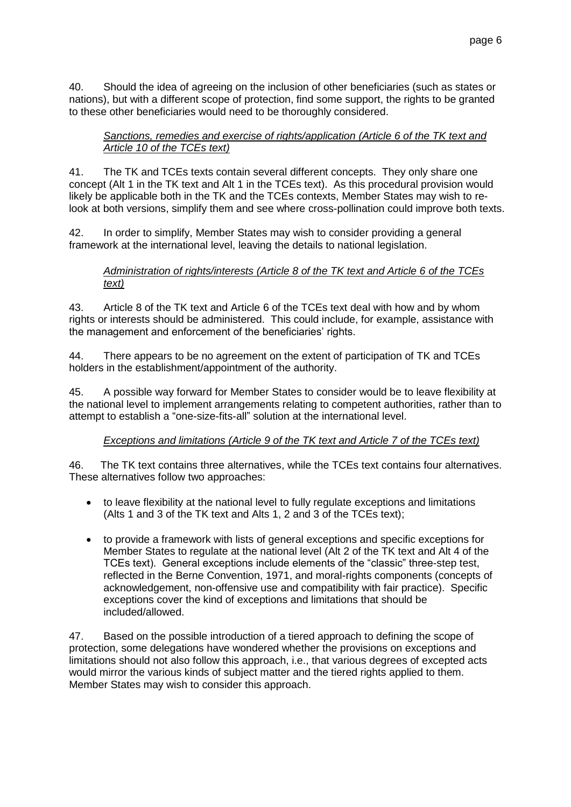40. Should the idea of agreeing on the inclusion of other beneficiaries (such as states or nations), but with a different scope of protection, find some support, the rights to be granted to these other beneficiaries would need to be thoroughly considered.

### *Sanctions, remedies and exercise of rights/application (Article 6 of the TK text and Article 10 of the TCEs text)*

41. The TK and TCEs texts contain several different concepts. They only share one concept (Alt 1 in the TK text and Alt 1 in the TCEs text). As this procedural provision would likely be applicable both in the TK and the TCEs contexts, Member States may wish to relook at both versions, simplify them and see where cross-pollination could improve both texts.

42. In order to simplify, Member States may wish to consider providing a general framework at the international level, leaving the details to national legislation.

### *Administration of rights/interests (Article 8 of the TK text and Article 6 of the TCEs text)*

43. Article 8 of the TK text and Article 6 of the TCEs text deal with how and by whom rights or interests should be administered. This could include, for example, assistance with the management and enforcement of the beneficiaries' rights.

44. There appears to be no agreement on the extent of participation of TK and TCEs holders in the establishment/appointment of the authority.

45. A possible way forward for Member States to consider would be to leave flexibility at the national level to implement arrangements relating to competent authorities, rather than to attempt to establish a "one-size-fits-all" solution at the international level.

# *Exceptions and limitations (Article 9 of the TK text and Article 7 of the TCEs text)*

46. The TK text contains three alternatives, while the TCEs text contains four alternatives. These alternatives follow two approaches:

- to leave flexibility at the national level to fully regulate exceptions and limitations (Alts 1 and 3 of the TK text and Alts 1, 2 and 3 of the TCEs text);
- to provide a framework with lists of general exceptions and specific exceptions for Member States to regulate at the national level (Alt 2 of the TK text and Alt 4 of the TCEs text). General exceptions include elements of the "classic" three-step test, reflected in the Berne Convention, 1971, and moral-rights components (concepts of acknowledgement, non-offensive use and compatibility with fair practice). Specific exceptions cover the kind of exceptions and limitations that should be included/allowed.

47. Based on the possible introduction of a tiered approach to defining the scope of protection, some delegations have wondered whether the provisions on exceptions and limitations should not also follow this approach, i.e., that various degrees of excepted acts would mirror the various kinds of subject matter and the tiered rights applied to them. Member States may wish to consider this approach.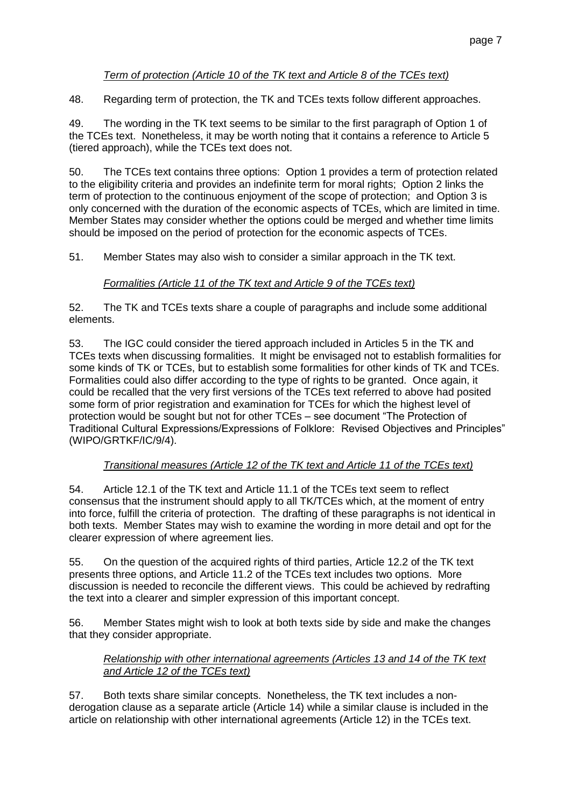## *Term of protection (Article 10 of the TK text and Article 8 of the TCEs text)*

48. Regarding term of protection, the TK and TCEs texts follow different approaches.

49. The wording in the TK text seems to be similar to the first paragraph of Option 1 of the TCEs text. Nonetheless, it may be worth noting that it contains a reference to Article 5 (tiered approach), while the TCEs text does not.

50. The TCEs text contains three options: Option 1 provides a term of protection related to the eligibility criteria and provides an indefinite term for moral rights; Option 2 links the term of protection to the continuous enjoyment of the scope of protection; and Option 3 is only concerned with the duration of the economic aspects of TCEs, which are limited in time. Member States may consider whether the options could be merged and whether time limits should be imposed on the period of protection for the economic aspects of TCEs.

51. Member States may also wish to consider a similar approach in the TK text.

# *Formalities (Article 11 of the TK text and Article 9 of the TCEs text)*

52. The TK and TCEs texts share a couple of paragraphs and include some additional elements.

53. The IGC could consider the tiered approach included in Articles 5 in the TK and TCEs texts when discussing formalities. It might be envisaged not to establish formalities for some kinds of TK or TCEs, but to establish some formalities for other kinds of TK and TCEs. Formalities could also differ according to the type of rights to be granted. Once again, it could be recalled that the very first versions of the TCEs text referred to above had posited some form of prior registration and examination for TCEs for which the highest level of protection would be sought but not for other TCEs – see document "The Protection of Traditional Cultural Expressions/Expressions of Folklore: Revised Objectives and Principles" (WIPO/GRTKF/IC/9/4).

### *Transitional measures (Article 12 of the TK text and Article 11 of the TCEs text)*

54. Article 12.1 of the TK text and Article 11.1 of the TCEs text seem to reflect consensus that the instrument should apply to all TK/TCEs which, at the moment of entry into force, fulfill the criteria of protection. The drafting of these paragraphs is not identical in both texts. Member States may wish to examine the wording in more detail and opt for the clearer expression of where agreement lies.

55. On the question of the acquired rights of third parties, Article 12.2 of the TK text presents three options, and Article 11.2 of the TCEs text includes two options. More discussion is needed to reconcile the different views. This could be achieved by redrafting the text into a clearer and simpler expression of this important concept.

56. Member States might wish to look at both texts side by side and make the changes that they consider appropriate.

### *Relationship with other international agreements (Articles 13 and 14 of the TK text and Article 12 of the TCEs text)*

57. Both texts share similar concepts. Nonetheless, the TK text includes a nonderogation clause as a separate article (Article 14) while a similar clause is included in the article on relationship with other international agreements (Article 12) in the TCEs text.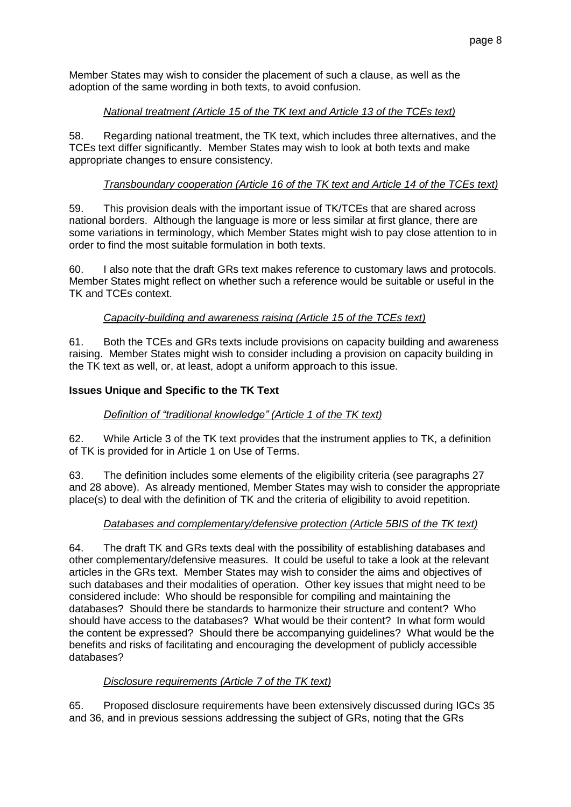Member States may wish to consider the placement of such a clause, as well as the adoption of the same wording in both texts, to avoid confusion.

## *National treatment (Article 15 of the TK text and Article 13 of the TCEs text)*

58. Regarding national treatment, the TK text, which includes three alternatives, and the TCEs text differ significantly. Member States may wish to look at both texts and make appropriate changes to ensure consistency.

## *Transboundary cooperation (Article 16 of the TK text and Article 14 of the TCEs text)*

59. This provision deals with the important issue of TK/TCEs that are shared across national borders. Although the language is more or less similar at first glance, there are some variations in terminology, which Member States might wish to pay close attention to in order to find the most suitable formulation in both texts.

60. I also note that the draft GRs text makes reference to customary laws and protocols. Member States might reflect on whether such a reference would be suitable or useful in the TK and TCEs context.

## *Capacity-building and awareness raising (Article 15 of the TCEs text)*

61. Both the TCEs and GRs texts include provisions on capacity building and awareness raising. Member States might wish to consider including a provision on capacity building in the TK text as well, or, at least, adopt a uniform approach to this issue.

## **Issues Unique and Specific to the TK Text**

### *Definition of "traditional knowledge" (Article 1 of the TK text)*

62. While Article 3 of the TK text provides that the instrument applies to TK, a definition of TK is provided for in Article 1 on Use of Terms.

63. The definition includes some elements of the eligibility criteria (see paragraphs 27 and 28 above). As already mentioned, Member States may wish to consider the appropriate place(s) to deal with the definition of TK and the criteria of eligibility to avoid repetition.

### *Databases and complementary/defensive protection (Article 5BIS of the TK text)*

64. The draft TK and GRs texts deal with the possibility of establishing databases and other complementary/defensive measures. It could be useful to take a look at the relevant articles in the GRs text. Member States may wish to consider the aims and objectives of such databases and their modalities of operation. Other key issues that might need to be considered include: Who should be responsible for compiling and maintaining the databases? Should there be standards to harmonize their structure and content? Who should have access to the databases? What would be their content? In what form would the content be expressed? Should there be accompanying guidelines? What would be the benefits and risks of facilitating and encouraging the development of publicly accessible databases?

### *Disclosure requirements (Article 7 of the TK text)*

65. Proposed disclosure requirements have been extensively discussed during IGCs 35 and 36, and in previous sessions addressing the subject of GRs, noting that the GRs